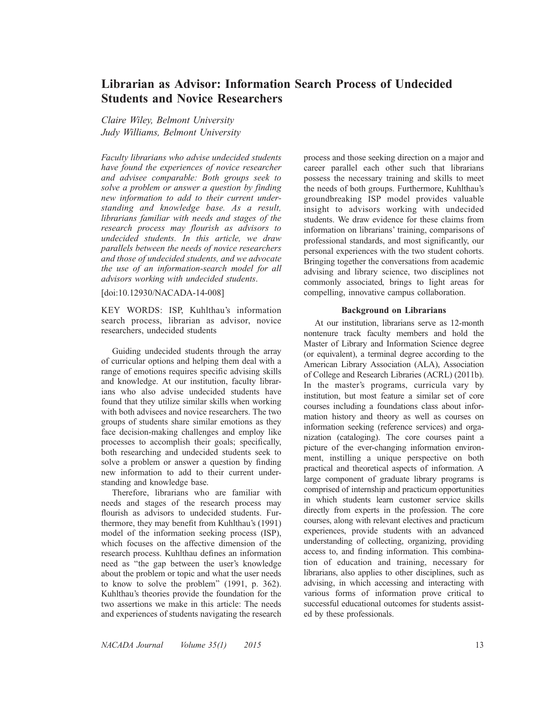# Librarian as Advisor: Information Search Process of Undecided Students and Novice Researchers

Claire Wiley, Belmont University Judy Williams, Belmont University

Faculty librarians who advise undecided students have found the experiences of novice researcher and advisee comparable: Both groups seek to solve a problem or answer a question by finding new information to add to their current understanding and knowledge base. As a result, librarians familiar with needs and stages of the research process may flourish as advisors to undecided students. In this article, we draw parallels between the needs of novice researchers and those of undecided students, and we advocate the use of an information-search model for all advisors working with undecided students.

[doi:10.12930/NACADA-14-008]

KEY WORDS: ISP, Kuhlthau's information search process, librarian as advisor, novice researchers, undecided students

Guiding undecided students through the array of curricular options and helping them deal with a range of emotions requires specific advising skills and knowledge. At our institution, faculty librarians who also advise undecided students have found that they utilize similar skills when working with both advisees and novice researchers. The two groups of students share similar emotions as they face decision-making challenges and employ like processes to accomplish their goals; specifically, both researching and undecided students seek to solve a problem or answer a question by finding new information to add to their current understanding and knowledge base.

Therefore, librarians who are familiar with needs and stages of the research process may flourish as advisors to undecided students. Furthermore, they may benefit from Kuhlthau's (1991) model of the information seeking process (ISP), which focuses on the affective dimension of the research process. Kuhlthau defines an information need as ''the gap between the user's knowledge about the problem or topic and what the user needs to know to solve the problem'' (1991, p. 362). Kuhlthau's theories provide the foundation for the two assertions we make in this article: The needs and experiences of students navigating the research process and those seeking direction on a major and career parallel each other such that librarians possess the necessary training and skills to meet the needs of both groups. Furthermore, Kuhlthau's groundbreaking ISP model provides valuable insight to advisors working with undecided students. We draw evidence for these claims from information on librarians' training, comparisons of professional standards, and most significantly, our personal experiences with the two student cohorts. Bringing together the conversations from academic advising and library science, two disciplines not commonly associated, brings to light areas for compelling, innovative campus collaboration.

## Background on Librarians

At our institution, librarians serve as 12-month nontenure track faculty members and hold the Master of Library and Information Science degree (or equivalent), a terminal degree according to the American Library Association (ALA), Association of College and Research Libraries (ACRL) (2011b). In the master's programs, curricula vary by institution, but most feature a similar set of core courses including a foundations class about information history and theory as well as courses on information seeking (reference services) and organization (cataloging). The core courses paint a picture of the ever-changing information environment, instilling a unique perspective on both practical and theoretical aspects of information. A large component of graduate library programs is comprised of internship and practicum opportunities in which students learn customer service skills directly from experts in the profession. The core courses, along with relevant electives and practicum experiences, provide students with an advanced understanding of collecting, organizing, providing access to, and finding information. This combination of education and training, necessary for librarians, also applies to other disciplines, such as advising, in which accessing and interacting with various forms of information prove critical to successful educational outcomes for students assisted by these professionals.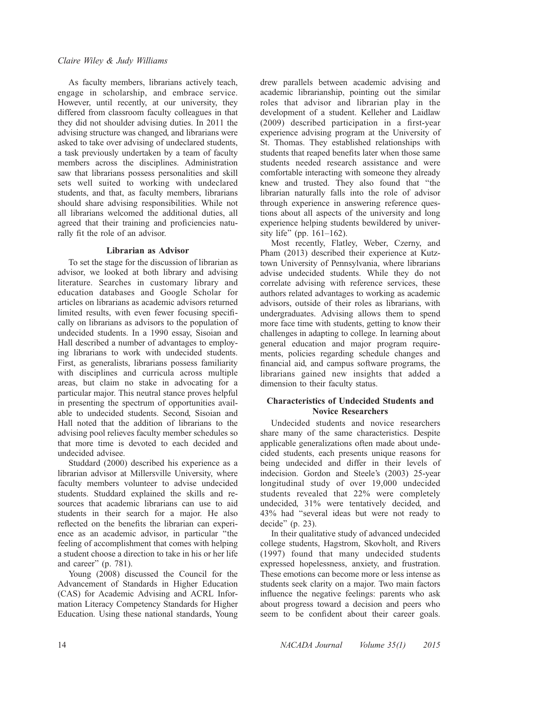As faculty members, librarians actively teach, engage in scholarship, and embrace service. However, until recently, at our university, they differed from classroom faculty colleagues in that they did not shoulder advising duties. In 2011 the advising structure was changed, and librarians were asked to take over advising of undeclared students, a task previously undertaken by a team of faculty members across the disciplines. Administration saw that librarians possess personalities and skill sets well suited to working with undeclared students, and that, as faculty members, librarians should share advising responsibilities. While not all librarians welcomed the additional duties, all agreed that their training and proficiencies naturally fit the role of an advisor.

# Librarian as Advisor

To set the stage for the discussion of librarian as advisor, we looked at both library and advising literature. Searches in customary library and education databases and Google Scholar for articles on librarians as academic advisors returned limited results, with even fewer focusing specifically on librarians as advisors to the population of undecided students. In a 1990 essay, Sisoian and Hall described a number of advantages to employing librarians to work with undecided students. First, as generalists, librarians possess familiarity with disciplines and curricula across multiple areas, but claim no stake in advocating for a particular major. This neutral stance proves helpful in presenting the spectrum of opportunities available to undecided students. Second, Sisoian and Hall noted that the addition of librarians to the advising pool relieves faculty member schedules so that more time is devoted to each decided and undecided advisee.

Studdard (2000) described his experience as a librarian advisor at Millersville University, where faculty members volunteer to advise undecided students. Studdard explained the skills and resources that academic librarians can use to aid students in their search for a major. He also reflected on the benefits the librarian can experience as an academic advisor, in particular ''the feeling of accomplishment that comes with helping a student choose a direction to take in his or her life and career'' (p. 781).

Young (2008) discussed the Council for the Advancement of Standards in Higher Education (CAS) for Academic Advising and ACRL Information Literacy Competency Standards for Higher Education. Using these national standards, Young drew parallels between academic advising and academic librarianship, pointing out the similar roles that advisor and librarian play in the development of a student. Kelleher and Laidlaw (2009) described participation in a first-year experience advising program at the University of St. Thomas. They established relationships with students that reaped benefits later when those same students needed research assistance and were comfortable interacting with someone they already knew and trusted. They also found that ''the librarian naturally falls into the role of advisor through experience in answering reference questions about all aspects of the university and long experience helping students bewildered by university life" (pp.  $161-162$ ).

Most recently, Flatley, Weber, Czerny, and Pham (2013) described their experience at Kutztown University of Pennsylvania, where librarians advise undecided students. While they do not correlate advising with reference services, these authors related advantages to working as academic advisors, outside of their roles as librarians, with undergraduates. Advising allows them to spend more face time with students, getting to know their challenges in adapting to college. In learning about general education and major program requirements, policies regarding schedule changes and financial aid, and campus software programs, the librarians gained new insights that added a dimension to their faculty status.

# Characteristics of Undecided Students and Novice Researchers

Undecided students and novice researchers share many of the same characteristics. Despite applicable generalizations often made about undecided students, each presents unique reasons for being undecided and differ in their levels of indecision. Gordon and Steele's (2003) 25-year longitudinal study of over 19,000 undecided students revealed that 22% were completely undecided, 31% were tentatively decided, and 43% had ''several ideas but were not ready to decide'' (p. 23).

In their qualitative study of advanced undecided college students, Hagstrom, Skovholt, and Rivers (1997) found that many undecided students expressed hopelessness, anxiety, and frustration. These emotions can become more or less intense as students seek clarity on a major. Two main factors influence the negative feelings: parents who ask about progress toward a decision and peers who seem to be confident about their career goals.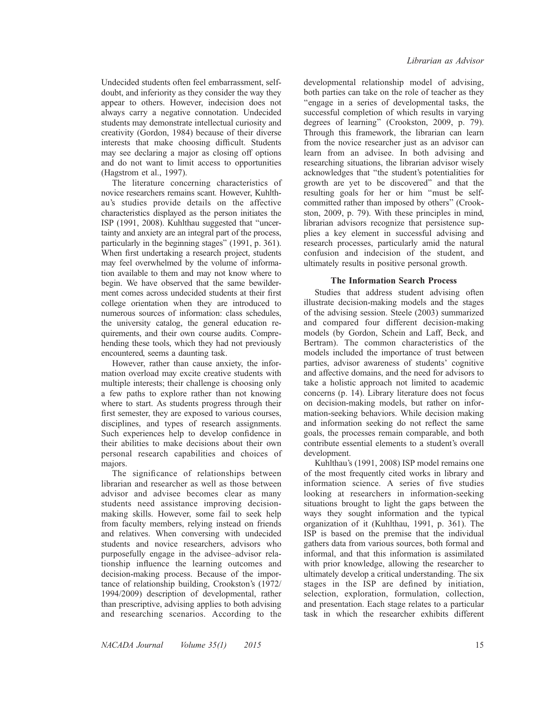Undecided students often feel embarrassment, selfdoubt, and inferiority as they consider the way they appear to others. However, indecision does not always carry a negative connotation. Undecided students may demonstrate intellectual curiosity and creativity (Gordon, 1984) because of their diverse interests that make choosing difficult. Students may see declaring a major as closing off options and do not want to limit access to opportunities (Hagstrom et al., 1997).

The literature concerning characteristics of novice researchers remains scant. However, Kuhlthau's studies provide details on the affective characteristics displayed as the person initiates the ISP (1991, 2008). Kuhlthau suggested that ''uncertainty and anxiety are an integral part of the process, particularly in the beginning stages'' (1991, p. 361). When first undertaking a research project, students may feel overwhelmed by the volume of information available to them and may not know where to begin. We have observed that the same bewilderment comes across undecided students at their first college orientation when they are introduced to numerous sources of information: class schedules, the university catalog, the general education requirements, and their own course audits. Comprehending these tools, which they had not previously encountered, seems a daunting task.

However, rather than cause anxiety, the information overload may excite creative students with multiple interests; their challenge is choosing only a few paths to explore rather than not knowing where to start. As students progress through their first semester, they are exposed to various courses, disciplines, and types of research assignments. Such experiences help to develop confidence in their abilities to make decisions about their own personal research capabilities and choices of majors.

The significance of relationships between librarian and researcher as well as those between advisor and advisee becomes clear as many students need assistance improving decisionmaking skills. However, some fail to seek help from faculty members, relying instead on friends and relatives. When conversing with undecided students and novice researchers, advisors who purposefully engage in the advisee–advisor relationship influence the learning outcomes and decision-making process. Because of the importance of relationship building, Crookston's (1972/ 1994/2009) description of developmental, rather than prescriptive, advising applies to both advising and researching scenarios. According to the

developmental relationship model of advising, both parties can take on the role of teacher as they ''engage in a series of developmental tasks, the successful completion of which results in varying degrees of learning'' (Crookston, 2009, p. 79). Through this framework, the librarian can learn from the novice researcher just as an advisor can learn from an advisee. In both advising and researching situations, the librarian advisor wisely acknowledges that ''the student's potentialities for growth are yet to be discovered'' and that the resulting goals for her or him ''must be selfcommitted rather than imposed by others'' (Crookston, 2009, p. 79). With these principles in mind, librarian advisors recognize that persistence supplies a key element in successful advising and research processes, particularly amid the natural confusion and indecision of the student, and ultimately results in positive personal growth.

## The Information Search Process

Studies that address student advising often illustrate decision-making models and the stages of the advising session. Steele (2003) summarized and compared four different decision-making models (by Gordon, Schein and Laff, Beck, and Bertram). The common characteristics of the models included the importance of trust between parties, advisor awareness of students' cognitive and affective domains, and the need for advisors to take a holistic approach not limited to academic concerns (p. 14). Library literature does not focus on decision-making models, but rather on information-seeking behaviors. While decision making and information seeking do not reflect the same goals, the processes remain comparable, and both contribute essential elements to a student's overall development.

Kuhlthau's (1991, 2008) ISP model remains one of the most frequently cited works in library and information science. A series of five studies looking at researchers in information-seeking situations brought to light the gaps between the ways they sought information and the typical organization of it (Kuhlthau, 1991, p. 361). The ISP is based on the premise that the individual gathers data from various sources, both formal and informal, and that this information is assimilated with prior knowledge, allowing the researcher to ultimately develop a critical understanding. The six stages in the ISP are defined by initiation, selection, exploration, formulation, collection, and presentation. Each stage relates to a particular task in which the researcher exhibits different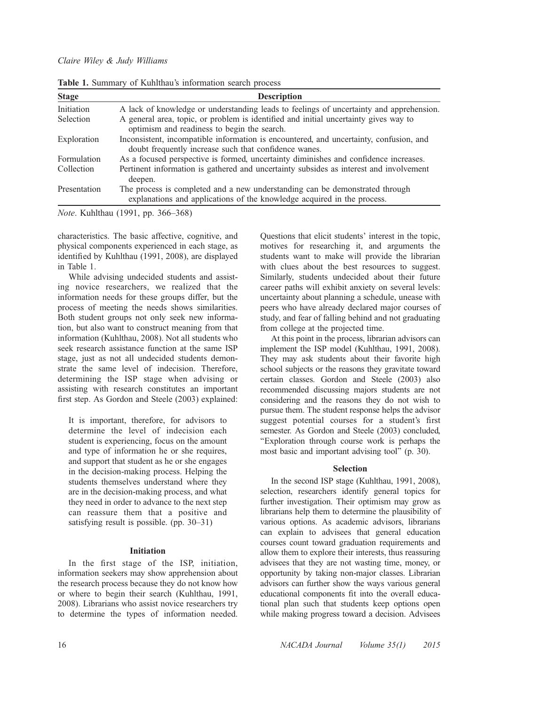| <b>Stage</b> | <b>Description</b>                                                                                                                                      |
|--------------|---------------------------------------------------------------------------------------------------------------------------------------------------------|
| Initiation   | A lack of knowledge or understanding leads to feelings of uncertainty and apprehension.                                                                 |
| Selection    | A general area, topic, or problem is identified and initial uncertainty gives way to<br>optimism and readiness to begin the search.                     |
| Exploration  | Inconsistent, incompatible information is encountered, and uncertainty, confusion, and<br>doubt frequently increase such that confidence wanes.         |
| Formulation  | As a focused perspective is formed, uncertainty diminishes and confidence increases.                                                                    |
| Collection   | Pertinent information is gathered and uncertainty subsides as interest and involvement<br>deepen.                                                       |
| Presentation | The process is completed and a new understanding can be demonstrated through<br>explanations and applications of the knowledge acquired in the process. |

Table 1. Summary of Kuhlthau's information search process

Note. Kuhlthau (1991, pp. 366–368)

characteristics. The basic affective, cognitive, and physical components experienced in each stage, as identified by Kuhlthau (1991, 2008), are displayed in Table 1.

While advising undecided students and assisting novice researchers, we realized that the information needs for these groups differ, but the process of meeting the needs shows similarities. Both student groups not only seek new information, but also want to construct meaning from that information (Kuhlthau, 2008). Not all students who seek research assistance function at the same ISP stage, just as not all undecided students demonstrate the same level of indecision. Therefore, determining the ISP stage when advising or assisting with research constitutes an important first step. As Gordon and Steele (2003) explained:

It is important, therefore, for advisors to determine the level of indecision each student is experiencing, focus on the amount and type of information he or she requires, and support that student as he or she engages in the decision-making process. Helping the students themselves understand where they are in the decision-making process, and what they need in order to advance to the next step can reassure them that a positive and satisfying result is possible. (pp. 30–31)

#### Initiation

In the first stage of the ISP, initiation, information seekers may show apprehension about the research process because they do not know how or where to begin their search (Kuhlthau, 1991, 2008). Librarians who assist novice researchers try to determine the types of information needed. Questions that elicit students' interest in the topic, motives for researching it, and arguments the students want to make will provide the librarian with clues about the best resources to suggest. Similarly, students undecided about their future career paths will exhibit anxiety on several levels: uncertainty about planning a schedule, unease with peers who have already declared major courses of study, and fear of falling behind and not graduating from college at the projected time.

At this point in the process, librarian advisors can implement the ISP model (Kuhlthau, 1991, 2008). They may ask students about their favorite high school subjects or the reasons they gravitate toward certain classes. Gordon and Steele (2003) also recommended discussing majors students are not considering and the reasons they do not wish to pursue them. The student response helps the advisor suggest potential courses for a student's first semester. As Gordon and Steele (2003) concluded, ''Exploration through course work is perhaps the most basic and important advising tool'' (p. 30).

## Selection

In the second ISP stage (Kuhlthau, 1991, 2008), selection, researchers identify general topics for further investigation. Their optimism may grow as librarians help them to determine the plausibility of various options. As academic advisors, librarians can explain to advisees that general education courses count toward graduation requirements and allow them to explore their interests, thus reassuring advisees that they are not wasting time, money, or opportunity by taking non-major classes. Librarian advisors can further show the ways various general educational components fit into the overall educational plan such that students keep options open while making progress toward a decision. Advisees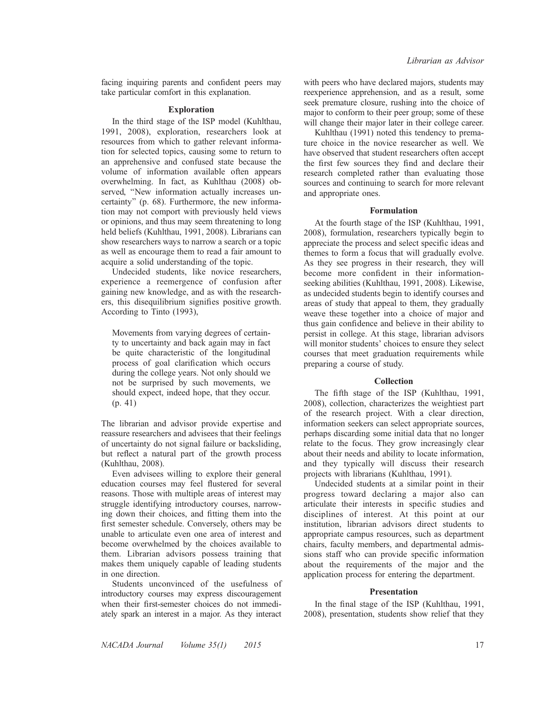facing inquiring parents and confident peers may take particular comfort in this explanation.

#### Exploration

In the third stage of the ISP model (Kuhlthau, 1991, 2008), exploration, researchers look at resources from which to gather relevant information for selected topics, causing some to return to an apprehensive and confused state because the volume of information available often appears overwhelming. In fact, as Kuhlthau (2008) observed, ''New information actually increases uncertainty'' (p. 68). Furthermore, the new information may not comport with previously held views or opinions, and thus may seem threatening to long held beliefs (Kuhlthau, 1991, 2008). Librarians can show researchers ways to narrow a search or a topic as well as encourage them to read a fair amount to acquire a solid understanding of the topic.

Undecided students, like novice researchers, experience a reemergence of confusion after gaining new knowledge, and as with the researchers, this disequilibrium signifies positive growth. According to Tinto (1993),

Movements from varying degrees of certainty to uncertainty and back again may in fact be quite characteristic of the longitudinal process of goal clarification which occurs during the college years. Not only should we not be surprised by such movements, we should expect, indeed hope, that they occur. (p. 41)

The librarian and advisor provide expertise and reassure researchers and advisees that their feelings of uncertainty do not signal failure or backsliding, but reflect a natural part of the growth process (Kuhlthau, 2008).

Even advisees willing to explore their general education courses may feel flustered for several reasons. Those with multiple areas of interest may struggle identifying introductory courses, narrowing down their choices, and fitting them into the first semester schedule. Conversely, others may be unable to articulate even one area of interest and become overwhelmed by the choices available to them. Librarian advisors possess training that makes them uniquely capable of leading students in one direction.

Students unconvinced of the usefulness of introductory courses may express discouragement when their first-semester choices do not immediately spark an interest in a major. As they interact

with peers who have declared majors, students may reexperience apprehension, and as a result, some seek premature closure, rushing into the choice of major to conform to their peer group; some of these will change their major later in their college career.

Kuhlthau (1991) noted this tendency to premature choice in the novice researcher as well. We have observed that student researchers often accept the first few sources they find and declare their research completed rather than evaluating those sources and continuing to search for more relevant and appropriate ones.

#### Formulation

At the fourth stage of the ISP (Kuhlthau, 1991, 2008), formulation, researchers typically begin to appreciate the process and select specific ideas and themes to form a focus that will gradually evolve. As they see progress in their research, they will become more confident in their informationseeking abilities (Kuhlthau, 1991, 2008). Likewise, as undecided students begin to identify courses and areas of study that appeal to them, they gradually weave these together into a choice of major and thus gain confidence and believe in their ability to persist in college. At this stage, librarian advisors will monitor students' choices to ensure they select courses that meet graduation requirements while preparing a course of study.

#### Collection

The fifth stage of the ISP (Kuhlthau, 1991, 2008), collection, characterizes the weightiest part of the research project. With a clear direction, information seekers can select appropriate sources, perhaps discarding some initial data that no longer relate to the focus. They grow increasingly clear about their needs and ability to locate information, and they typically will discuss their research projects with librarians (Kuhlthau, 1991).

Undecided students at a similar point in their progress toward declaring a major also can articulate their interests in specific studies and disciplines of interest. At this point at our institution, librarian advisors direct students to appropriate campus resources, such as department chairs, faculty members, and departmental admissions staff who can provide specific information about the requirements of the major and the application process for entering the department.

#### Presentation

In the final stage of the ISP (Kuhlthau, 1991, 2008), presentation, students show relief that they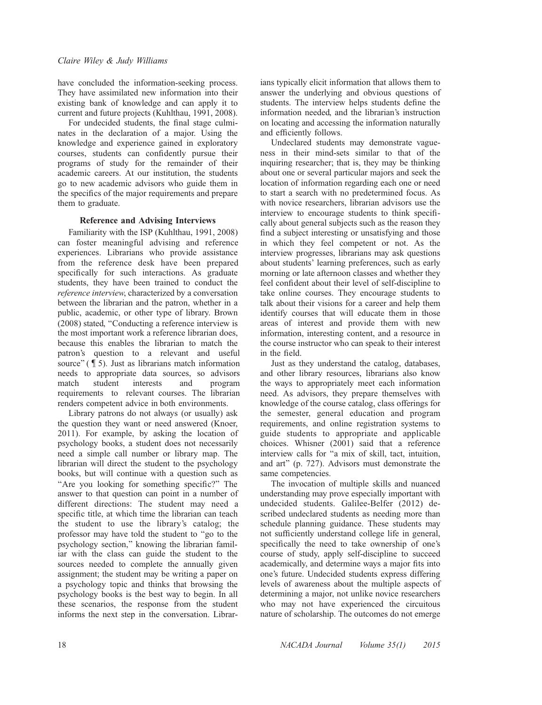have concluded the information-seeking process. They have assimilated new information into their existing bank of knowledge and can apply it to current and future projects (Kuhlthau, 1991, 2008).

For undecided students, the final stage culminates in the declaration of a major. Using the knowledge and experience gained in exploratory courses, students can confidently pursue their programs of study for the remainder of their academic careers. At our institution, the students go to new academic advisors who guide them in the specifics of the major requirements and prepare them to graduate.

# Reference and Advising Interviews

Familiarity with the ISP (Kuhlthau, 1991, 2008) can foster meaningful advising and reference experiences. Librarians who provide assistance from the reference desk have been prepared specifically for such interactions. As graduate students, they have been trained to conduct the reference interview, characterized by a conversation between the librarian and the patron, whether in a public, academic, or other type of library. Brown (2008) stated, ''Conducting a reference interview is the most important work a reference librarian does, because this enables the librarian to match the patron's question to a relevant and useful source" ( $\sqrt{\frac{5}{1}}$ ). Just as librarians match information needs to appropriate data sources, so advisors match student interests and program requirements to relevant courses. The librarian renders competent advice in both environments.

Library patrons do not always (or usually) ask the question they want or need answered (Knoer, 2011). For example, by asking the location of psychology books, a student does not necessarily need a simple call number or library map. The librarian will direct the student to the psychology books, but will continue with a question such as ''Are you looking for something specific?'' The answer to that question can point in a number of different directions: The student may need a specific title, at which time the librarian can teach the student to use the library's catalog; the professor may have told the student to ''go to the psychology section,'' knowing the librarian familiar with the class can guide the student to the sources needed to complete the annually given assignment; the student may be writing a paper on a psychology topic and thinks that browsing the psychology books is the best way to begin. In all these scenarios, the response from the student informs the next step in the conversation. Librarians typically elicit information that allows them to answer the underlying and obvious questions of students. The interview helps students define the information needed, and the librarian's instruction on locating and accessing the information naturally and efficiently follows.

Undeclared students may demonstrate vagueness in their mind-sets similar to that of the inquiring researcher; that is, they may be thinking about one or several particular majors and seek the location of information regarding each one or need to start a search with no predetermined focus. As with novice researchers, librarian advisors use the interview to encourage students to think specifically about general subjects such as the reason they find a subject interesting or unsatisfying and those in which they feel competent or not. As the interview progresses, librarians may ask questions about students' learning preferences, such as early morning or late afternoon classes and whether they feel confident about their level of self-discipline to take online courses. They encourage students to talk about their visions for a career and help them identify courses that will educate them in those areas of interest and provide them with new information, interesting content, and a resource in the course instructor who can speak to their interest in the field.

Just as they understand the catalog, databases, and other library resources, librarians also know the ways to appropriately meet each information need. As advisors, they prepare themselves with knowledge of the course catalog, class offerings for the semester, general education and program requirements, and online registration systems to guide students to appropriate and applicable choices. Whisner (2001) said that a reference interview calls for ''a mix of skill, tact, intuition, and art'' (p. 727). Advisors must demonstrate the same competencies.

The invocation of multiple skills and nuanced understanding may prove especially important with undecided students. Galilee-Belfer (2012) described undeclared students as needing more than schedule planning guidance. These students may not sufficiently understand college life in general, specifically the need to take ownership of one's course of study, apply self-discipline to succeed academically, and determine ways a major fits into one's future. Undecided students express differing levels of awareness about the multiple aspects of determining a major, not unlike novice researchers who may not have experienced the circuitous nature of scholarship. The outcomes do not emerge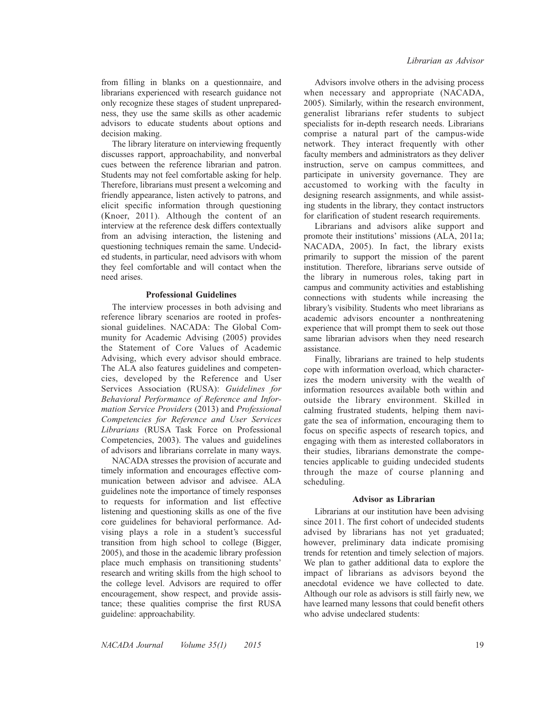from filling in blanks on a questionnaire, and librarians experienced with research guidance not only recognize these stages of student unpreparedness, they use the same skills as other academic advisors to educate students about options and decision making.

The library literature on interviewing frequently discusses rapport, approachability, and nonverbal cues between the reference librarian and patron. Students may not feel comfortable asking for help. Therefore, librarians must present a welcoming and friendly appearance, listen actively to patrons, and elicit specific information through questioning (Knoer, 2011). Although the content of an interview at the reference desk differs contextually from an advising interaction, the listening and questioning techniques remain the same. Undecided students, in particular, need advisors with whom they feel comfortable and will contact when the need arises.

# Professional Guidelines

The interview processes in both advising and reference library scenarios are rooted in professional guidelines. NACADA: The Global Community for Academic Advising (2005) provides the Statement of Core Values of Academic Advising, which every advisor should embrace. The ALA also features guidelines and competencies, developed by the Reference and User Services Association (RUSA): Guidelines for Behavioral Performance of Reference and Information Service Providers (2013) and Professional Competencies for Reference and User Services Librarians (RUSA Task Force on Professional Competencies, 2003). The values and guidelines of advisors and librarians correlate in many ways.

NACADA stresses the provision of accurate and timely information and encourages effective communication between advisor and advisee. ALA guidelines note the importance of timely responses to requests for information and list effective listening and questioning skills as one of the five core guidelines for behavioral performance. Advising plays a role in a student's successful transition from high school to college (Bigger, 2005), and those in the academic library profession place much emphasis on transitioning students' research and writing skills from the high school to the college level. Advisors are required to offer encouragement, show respect, and provide assistance; these qualities comprise the first RUSA guideline: approachability.

Advisors involve others in the advising process when necessary and appropriate (NACADA, 2005). Similarly, within the research environment, generalist librarians refer students to subject specialists for in-depth research needs. Librarians comprise a natural part of the campus-wide network. They interact frequently with other faculty members and administrators as they deliver instruction, serve on campus committees, and participate in university governance. They are accustomed to working with the faculty in designing research assignments, and while assisting students in the library, they contact instructors for clarification of student research requirements.

Librarians and advisors alike support and promote their institutions' missions (ALA, 2011a; NACADA, 2005). In fact, the library exists primarily to support the mission of the parent institution. Therefore, librarians serve outside of the library in numerous roles, taking part in campus and community activities and establishing connections with students while increasing the library's visibility. Students who meet librarians as academic advisors encounter a nonthreatening experience that will prompt them to seek out those same librarian advisors when they need research assistance.

Finally, librarians are trained to help students cope with information overload, which characterizes the modern university with the wealth of information resources available both within and outside the library environment. Skilled in calming frustrated students, helping them navigate the sea of information, encouraging them to focus on specific aspects of research topics, and engaging with them as interested collaborators in their studies, librarians demonstrate the competencies applicable to guiding undecided students through the maze of course planning and scheduling.

# Advisor as Librarian

Librarians at our institution have been advising since 2011. The first cohort of undecided students advised by librarians has not yet graduated; however, preliminary data indicate promising trends for retention and timely selection of majors. We plan to gather additional data to explore the impact of librarians as advisors beyond the anecdotal evidence we have collected to date. Although our role as advisors is still fairly new, we have learned many lessons that could benefit others who advise undeclared students: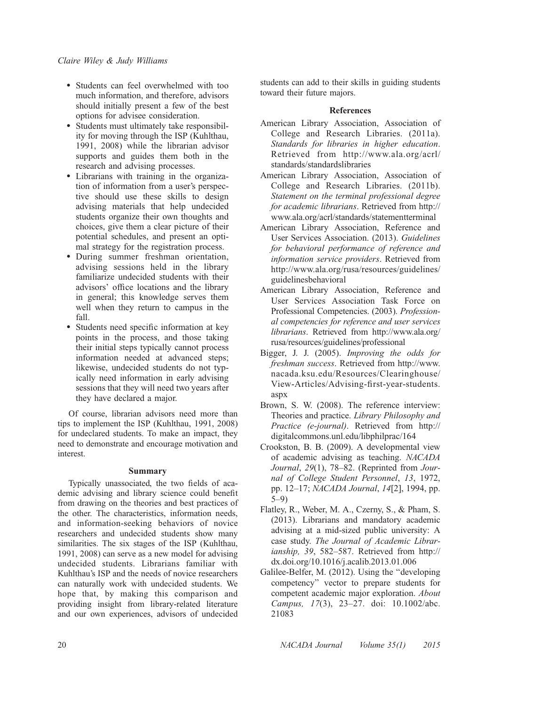- Students can feel overwhelmed with too much information, and therefore, advisors should initially present a few of the best options for advisee consideration.
- $\bullet$  Students must ultimately take responsibility for moving through the ISP (Kuhlthau, 1991, 2008) while the librarian advisor supports and guides them both in the research and advising processes.
- Librarians with training in the organization of information from a user's perspective should use these skills to design advising materials that help undecided students organize their own thoughts and choices, give them a clear picture of their potential schedules, and present an optimal strategy for the registration process.
- During summer freshman orientation, advising sessions held in the library familiarize undecided students with their advisors' office locations and the library in general; this knowledge serves them well when they return to campus in the fall.
- Students need specific information at key points in the process, and those taking their initial steps typically cannot process information needed at advanced steps; likewise, undecided students do not typically need information in early advising sessions that they will need two years after they have declared a major.

Of course, librarian advisors need more than tips to implement the ISP (Kuhlthau, 1991, 2008) for undeclared students. To make an impact, they need to demonstrate and encourage motivation and interest.

# Summary

Typically unassociated, the two fields of academic advising and library science could benefit from drawing on the theories and best practices of the other. The characteristics, information needs, and information-seeking behaviors of novice researchers and undecided students show many similarities. The six stages of the ISP (Kuhlthau, 1991, 2008) can serve as a new model for advising undecided students. Librarians familiar with Kuhlthau's ISP and the needs of novice researchers can naturally work with undecided students. We hope that, by making this comparison and providing insight from library-related literature and our own experiences, advisors of undecided

students can add to their skills in guiding students toward their future majors.

# References

- American Library Association, Association of College and Research Libraries. (2011a). Standards for libraries in higher education. Retrieved from [http://www.ala.org/acrl/](http://www.ala.org/acrl/standards/standardslibraries) standards/standardslibraries
- American Library Association, Association of College and Research Libraries. (2011b). Statement on the terminal professional degree for academic librarians. Retrieved from [http://](http://www.ala.org/acrl/standards/statementterminal) www.ala.org/acrl/standards/statementterminal
- American Library Association, Reference and User Services Association. (2013). Guidelines for behavioral performance of reference and information service providers. Retrieved from [http://www.ala.org/rusa/resources/guidelines/](http://www.ala.org/rusa/resources/guidelines/guidelinesbehavioral) guidelinesbehavioral
- American Library Association, Reference and User Services Association Task Force on Professional Competencies. (2003). Professional competencies for reference and user services librarians. Retrieved from [http://www.ala.org/](http://www.ala.org/rusa/resources/guidelines/professional) rusa/resources/guidelines/professional
- Bigger, J. J. (2005). Improving the odds for freshman success. Retrieved from [http://www.](http://www.nacada.ksu.edu/Resources/Clearinghouse/View-Articles/Advising-first-year-students.aspx) nacada.ksu.edu/Resources/Clearinghouse/ View-Articles/Advising-first-year-students. aspx
- Brown, S. W. (2008). The reference interview: Theories and practice. Library Philosophy and Practice (e-journal). Retrieved from [http://](http://digitalcommons.unl.edu/libphilprac/164/) digitalcommons.unl.edu/libphilprac/164
- Crookston, B. B. (2009). A developmental view of academic advising as teaching. NACADA Journal, 29(1), 78–82. (Reprinted from Journal of College Student Personnel, 13, 1972, pp. 12–17; NACADA Journal, 14[2], 1994, pp. 5–9)
- Flatley, R., Weber, M. A., Czerny, S., & Pham, S. (2013). Librarians and mandatory academic advising at a mid-sized public university: A case study. The Journal of Academic Librarianship, 39, 582–587. Retrieved from [http://](http://dx.doi.org/10.1016/j.acalib.2013.01.006) dx.doi.org/10.1016/j.acalib.2013.01.006
- Galilee-Belfer, M. (2012). Using the ''developing competency'' vector to prepare students for competent academic major exploration. About Campus, 17(3), 23–27. doi: 10.1002/abc. 21083